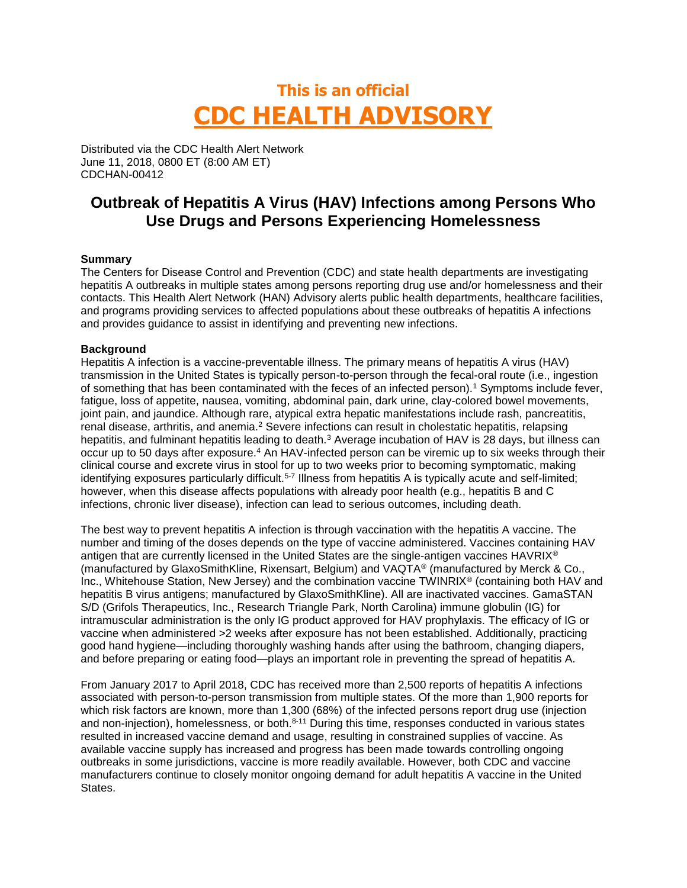# **This is an official CDC HEALTH ADVISORY**

Distributed via the CDC Health Alert Network June 11, 2018, 0800 ET (8:00 AM ET) CDCHAN-00412

# **Outbreak of Hepatitis A Virus (HAV) Infections among Persons Who Use Drugs and Persons Experiencing Homelessness**

## **Summary**

The Centers for Disease Control and Prevention (CDC) and state health departments are investigating hepatitis A outbreaks in multiple states among persons reporting drug use and/or homelessness and their contacts. This Health Alert Network (HAN) Advisory alerts public health departments, healthcare facilities, and programs providing services to affected populations about these outbreaks of hepatitis A infections and provides guidance to assist in identifying and preventing new infections.

## **Background**

Hepatitis A infection is a vaccine-preventable illness. The primary means of hepatitis A virus (HAV) transmission in the United States is typically person-to-person through the fecal-oral route (i.e., ingestion of something that has been contaminated with the feces of an infected person).<sup>1</sup> Symptoms include fever, fatigue, loss of appetite, nausea, vomiting, abdominal pain, dark urine, clay-colored bowel movements, joint pain, and jaundice. Although rare, atypical extra hepatic manifestations include rash, pancreatitis, renal disease, arthritis, and anemia.<sup>2</sup> Severe infections can result in cholestatic hepatitis, relapsing hepatitis, and fulminant hepatitis leading to death.<sup>3</sup> Average incubation of HAV is 28 days, but illness can occur up to 50 days after exposure.<sup>4</sup> An HAV-infected person can be viremic up to six weeks through their clinical course and excrete virus in stool for up to two weeks prior to becoming symptomatic, making identifying exposures particularly difficult.<sup>5-7</sup> Illness from hepatitis A is typically acute and self-limited; however, when this disease affects populations with already poor health (e.g., hepatitis B and C infections, chronic liver disease), infection can lead to serious outcomes, including death.

The best way to prevent hepatitis A infection is through vaccination with the hepatitis A vaccine. The number and timing of the doses depends on the type of vaccine administered. Vaccines containing HAV antigen that are currently licensed in the United States are the single-antigen vaccines HAVRIX® (manufactured by GlaxoSmithKline, Rixensart, Belgium) and VAQTA® (manufactured by Merck & Co., Inc., Whitehouse Station, New Jersey) and the combination vaccine TWINRIX® (containing both HAV and hepatitis B virus antigens; manufactured by GlaxoSmithKline). All are inactivated vaccines. GamaSTAN S/D (Grifols Therapeutics, Inc., Research Triangle Park, North Carolina) immune globulin (IG) for intramuscular administration is the only IG product approved for HAV prophylaxis. The efficacy of IG or vaccine when administered >2 weeks after exposure has not been established. Additionally, practicing good hand hygiene—including thoroughly washing hands after using the bathroom, changing diapers, and before preparing or eating food—plays an important role in preventing the spread of hepatitis A.

From January 2017 to April 2018, CDC has received more than 2,500 reports of hepatitis A infections associated with person-to-person transmission from multiple states. Of the more than 1,900 reports for which risk factors are known, more than 1,300 (68%) of the infected persons report drug use (injection and non-injection), homelessness, or both.8-11 During this time, responses conducted in various states resulted in increased vaccine demand and usage, resulting in constrained supplies of vaccine. As available vaccine supply has increased and progress has been made towards controlling ongoing outbreaks in some jurisdictions, vaccine is more readily available. However, both CDC and vaccine manufacturers continue to closely monitor ongoing demand for adult hepatitis A vaccine in the United States.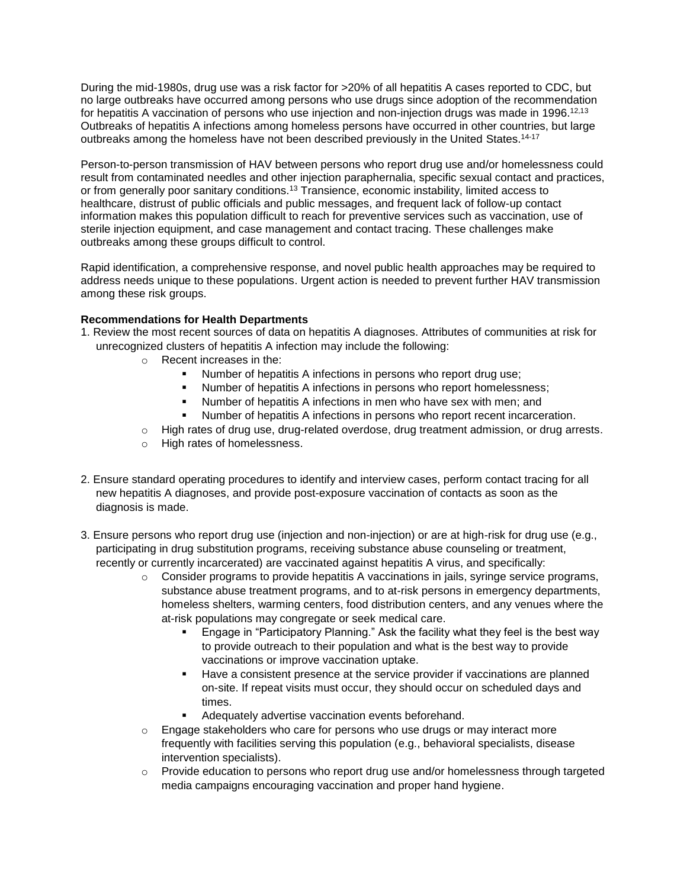During the mid-1980s, drug use was a risk factor for >20% of all hepatitis A cases reported to CDC, but no large outbreaks have occurred among persons who use drugs since adoption of the recommendation for hepatitis A vaccination of persons who use injection and non-injection drugs was made in 1996.<sup>12,13</sup> Outbreaks of hepatitis A infections among homeless persons have occurred in other countries, but large outbreaks among the homeless have not been described previously in the United States.14-17

Person-to-person transmission of HAV between persons who report drug use and/or homelessness could result from contaminated needles and other injection paraphernalia, specific sexual contact and practices, or from generally poor sanitary conditions.<sup>13</sup> Transience, economic instability, limited access to healthcare, distrust of public officials and public messages, and frequent lack of follow-up contact information makes this population difficult to reach for preventive services such as vaccination, use of sterile injection equipment, and case management and contact tracing. These challenges make outbreaks among these groups difficult to control.

Rapid identification, a comprehensive response, and novel public health approaches may be required to address needs unique to these populations. Urgent action is needed to prevent further HAV transmission among these risk groups.

#### **Recommendations for Health Departments**

- 1. Review the most recent sources of data on hepatitis A diagnoses. Attributes of communities at risk for unrecognized clusters of hepatitis A infection may include the following:
	- o Recent increases in the:
		- Number of hepatitis A infections in persons who report drug use;
		- Number of hepatitis A infections in persons who report homelessness;
		- Number of hepatitis A infections in men who have sex with men; and
		- Number of hepatitis A infections in persons who report recent incarceration.
	- o High rates of drug use, drug-related overdose, drug treatment admission, or drug arrests.
	- o High rates of homelessness.
- 2. Ensure standard operating procedures to identify and interview cases, perform contact tracing for all new hepatitis A diagnoses, and provide post-exposure vaccination of contacts as soon as the diagnosis is made.
- 3. Ensure persons who report drug use (injection and non-injection) or are at high-risk for drug use (e.g., participating in drug substitution programs, receiving substance abuse counseling or treatment, recently or currently incarcerated) are vaccinated against hepatitis A virus, and specifically:
	- $\circ$  Consider programs to provide hepatitis A vaccinations in jails, syringe service programs, substance abuse treatment programs, and to at-risk persons in emergency departments, homeless shelters, warming centers, food distribution centers, and any venues where the at-risk populations may congregate or seek medical care.
		- Engage in "Participatory Planning." Ask the facility what they feel is the best way to provide outreach to their population and what is the best way to provide vaccinations or improve vaccination uptake.
		- Have a consistent presence at the service provider if vaccinations are planned on-site. If repeat visits must occur, they should occur on scheduled days and times.
		- Adequately advertise vaccination events beforehand.
	- $\circ$  Engage stakeholders who care for persons who use drugs or may interact more frequently with facilities serving this population (e.g., behavioral specialists, disease intervention specialists).
	- o Provide education to persons who report drug use and/or homelessness through targeted media campaigns encouraging vaccination and proper hand hygiene.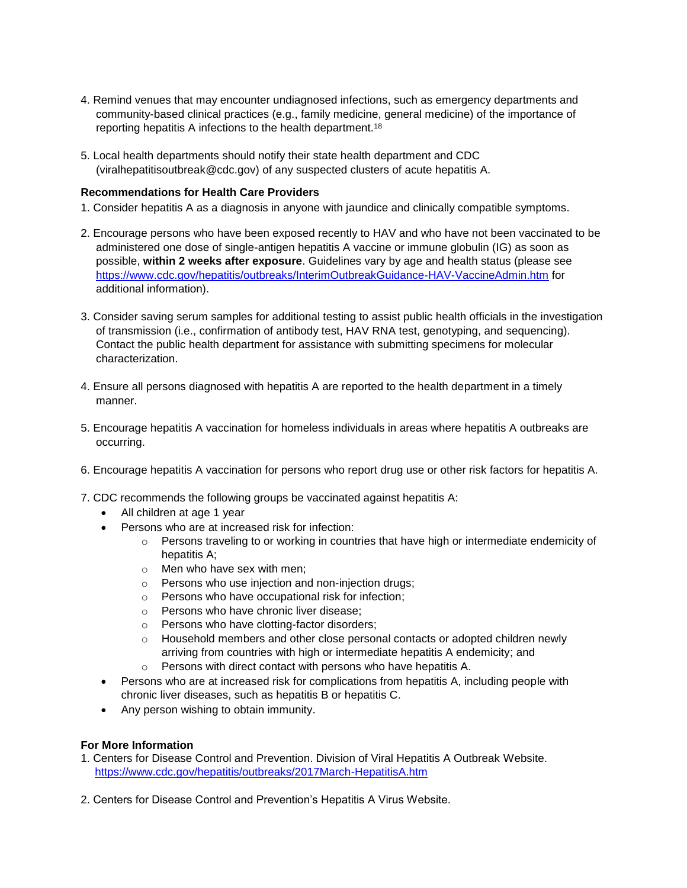- 4. Remind venues that may encounter undiagnosed infections, such as emergency departments and community-based clinical practices (e.g., family medicine, general medicine) of the importance of reporting hepatitis A infections to the health department.<sup>18</sup>
- 5. Local health departments should notify their state health department and CDC (viralhepatitisoutbreak@cdc.gov) of any suspected clusters of acute hepatitis A.

#### **Recommendations for Health Care Providers**

- 1. Consider hepatitis A as a diagnosis in anyone with jaundice and clinically compatible symptoms.
- 2. Encourage persons who have been exposed recently to HAV and who have not been vaccinated to be administered one dose of single-antigen hepatitis A vaccine or immune globulin (IG) as soon as possible, **within 2 weeks after exposure**. Guidelines vary by age and health status (please see <https://www.cdc.gov/hepatitis/outbreaks/InterimOutbreakGuidance-HAV-VaccineAdmin.htm> for additional information).
- 3. Consider saving serum samples for additional testing to assist public health officials in the investigation of transmission (i.e., confirmation of antibody test, HAV RNA test, genotyping, and sequencing). Contact the public health department for assistance with submitting specimens for molecular characterization.
- 4. Ensure all persons diagnosed with hepatitis A are reported to the health department in a timely manner.
- 5. Encourage hepatitis A vaccination for homeless individuals in areas where hepatitis A outbreaks are occurring.
- 6. Encourage hepatitis A vaccination for persons who report drug use or other risk factors for hepatitis A.
- 7. CDC recommends the following groups be vaccinated against hepatitis A:
	- All children at age 1 year
	- Persons who are at increased risk for infection:
		- $\circ$  Persons traveling to or working in countries that have high or intermediate endemicity of hepatitis A;
		- o Men who have sex with men;
		- o Persons who use injection and non-injection drugs;
		- o Persons who have occupational risk for infection;
		- o Persons who have chronic liver disease;
		- o Persons who have clotting-factor disorders;
		- $\circ$  Household members and other close personal contacts or adopted children newly arriving from countries with high or intermediate hepatitis A endemicity; and
		- o Persons with direct contact with persons who have hepatitis A.
	- Persons who are at increased risk for complications from hepatitis A, including people with chronic liver diseases, such as hepatitis B or hepatitis C.
	- Any person wishing to obtain immunity.

#### **For More Information**

- 1. Centers for Disease Control and Prevention. Division of Viral Hepatitis A Outbreak Website. <https://www.cdc.gov/hepatitis/outbreaks/2017March-HepatitisA.htm>
- 2. Centers for Disease Control and Prevention's Hepatitis A Virus Website.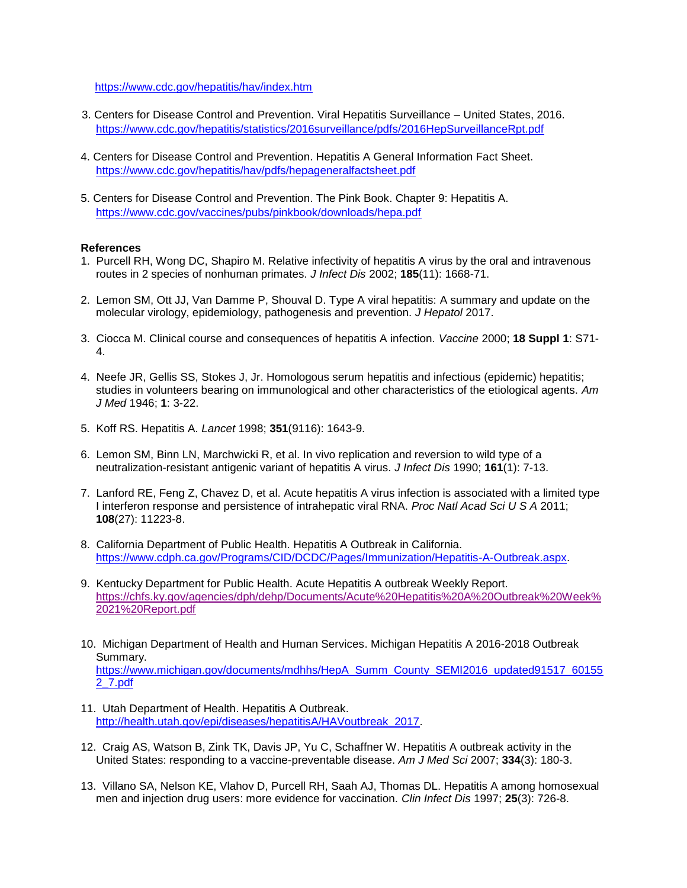#### <https://www.cdc.gov/hepatitis/hav/index.htm>

- 3. Centers for Disease Control and Prevention. Viral Hepatitis Surveillance United States, 2016. <https://www.cdc.gov/hepatitis/statistics/2016surveillance/pdfs/2016HepSurveillanceRpt.pdf>
- 4. Centers for Disease Control and Prevention. Hepatitis A General Information Fact Sheet. <https://www.cdc.gov/hepatitis/hav/pdfs/hepageneralfactsheet.pdf>
- 5. Centers for Disease Control and Prevention. The Pink Book. Chapter 9: Hepatitis A. <https://www.cdc.gov/vaccines/pubs/pinkbook/downloads/hepa.pdf>

#### **References**

- 1. Purcell RH, Wong DC, Shapiro M. Relative infectivity of hepatitis A virus by the oral and intravenous routes in 2 species of nonhuman primates. *J Infect Dis* 2002; **185**(11): 1668-71.
- 2. Lemon SM, Ott JJ, Van Damme P, Shouval D. Type A viral hepatitis: A summary and update on the molecular virology, epidemiology, pathogenesis and prevention. *J Hepatol* 2017.
- 3. Ciocca M. Clinical course and consequences of hepatitis A infection. *Vaccine* 2000; **18 Suppl 1**: S71- 4.
- 4. Neefe JR, Gellis SS, Stokes J, Jr. Homologous serum hepatitis and infectious (epidemic) hepatitis; studies in volunteers bearing on immunological and other characteristics of the etiological agents. *Am J Med* 1946; **1**: 3-22.
- 5. Koff RS. Hepatitis A. *Lancet* 1998; **351**(9116): 1643-9.
- 6. Lemon SM, Binn LN, Marchwicki R, et al. In vivo replication and reversion to wild type of a neutralization-resistant antigenic variant of hepatitis A virus. *J Infect Dis* 1990; **161**(1): 7-13.
- 7. Lanford RE, Feng Z, Chavez D, et al. Acute hepatitis A virus infection is associated with a limited type I interferon response and persistence of intrahepatic viral RNA. *Proc Natl Acad Sci U S A* 2011; **108**(27): 11223-8.
- 8. California Department of Public Health. Hepatitis A Outbreak in California. [https://www.cdph.ca.gov/Programs/CID/DCDC/Pages/Immunization/Hepatitis-A-Outbreak.aspx.](https://www.cdph.ca.gov/Programs/CID/DCDC/Pages/Immunization/Hepatitis-A-Outbreak.aspx)
- 9. Kentucky Department for Public Health. Acute Hepatitis A outbreak Weekly Report. [https://chfs.ky.gov/agencies/dph/dehp/Documents/Acute%20Hepatitis%20A%20Outbreak%20Week%](https://chfs.ky.gov/agencies/dph/dehp/Documents/Acute%20Hepatitis%20A%20Outbreak%20Week%2021%20Report.pdf) [2021%20Report.pdf](https://chfs.ky.gov/agencies/dph/dehp/Documents/Acute%20Hepatitis%20A%20Outbreak%20Week%2021%20Report.pdf)
- 10. Michigan Department of Health and Human Services. Michigan Hepatitis A 2016-2018 Outbreak Summary. [https://www.michigan.gov/documents/mdhhs/HepA\\_Summ\\_County\\_SEMI2016\\_updated91517\\_60155](https://www.michigan.gov/documents/mdhhs/HepA_Summ_County_SEMI2016_updated91517_601552_7.pdf) [2\\_7.pdf](https://www.michigan.gov/documents/mdhhs/HepA_Summ_County_SEMI2016_updated91517_601552_7.pdf)
- 11. Utah Department of Health. Hepatitis A Outbreak. [http://health.utah.gov/epi/diseases/hepatitisA/HAVoutbreak\\_2017.](http://health.utah.gov/epi/diseases/hepatitisA/HAVoutbreak_2017)
- 12. Craig AS, Watson B, Zink TK, Davis JP, Yu C, Schaffner W. Hepatitis A outbreak activity in the United States: responding to a vaccine-preventable disease. *Am J Med Sci* 2007; **334**(3): 180-3.
- 13. Villano SA, Nelson KE, Vlahov D, Purcell RH, Saah AJ, Thomas DL. Hepatitis A among homosexual men and injection drug users: more evidence for vaccination. *Clin Infect Dis* 1997; **25**(3): 726-8.